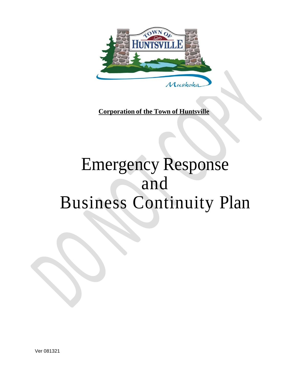

**Corporation of the Town of Huntsville**

# Emergency Response and Business Continuity Plan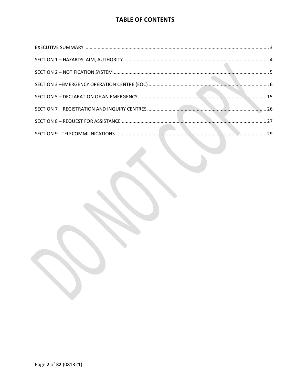# **TABLE OF CONTENTS**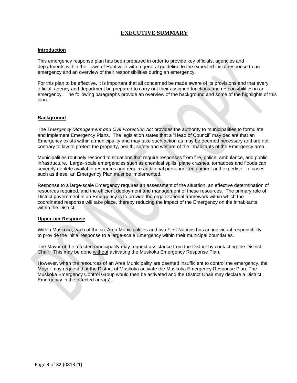# **EXECUTIVE SUMMARY**

# <span id="page-2-0"></span>**Introduction**

This emergency response plan has been prepared in order to provide key officials, agencies and departments within the Town of Huntsville with a general guideline to the expected initial response to an emergency and an overview of their responsibilities during an emergency.

For this plan to be effective, it is important that all concerned be made aware of its provisions and that every official, agency and department be prepared to carry out their assigned functions and responsibilities in an emergency. The following paragraphs provide an overview of the background and some of the highlights of this plan.

#### **Background**

The *Emergency Management and Civil Protection Act* provides the authority to municipalities to formulate and implement Emergency Plans. The legislation states that a "Head of Council" may declare that an Emergency exists within a municipality and may take such action as may be deemed necessary and are not contrary to law to protect the property, health, safety and welfare of the inhabitants of the Emergency area.

Municipalities routinely respond to situations that require responses from fire, police, ambulance, and public infrastructure. Large- scale emergencies such as chemical spills, plane crashes, tornadoes and floods can severely deplete available resources and require additional personnel, equipment and expertise. In cases such as these, an Emergency Plan must be implemented.

Response to a large-scale Emergency requires an assessment of the situation, an effective determination of resources required, and the efficient deployment and management of these resources. The primary role of District government in an Emergency is to provide the organizational framework within which the coordinated response will take place, thereby reducing the impact of the Emergency on the inhabitants within the District.

#### **Upper-tier Response**

Within Muskoka, each of the six Area Municipalities and two First Nations has an individual responsibility to provide the initial response to a large-scale Emergency within their municipal boundaries.

The Mayor of the affected municipality may request assistance from the District by contacting the District Chair. This may be done without activating the Muskoka Emergency Response Plan.

However, when the resources of an Area Municipality are deemed insufficient to control the emergency, the Mayor may request that the District of Muskoka activate the Muskoka Emergency Response Plan. The Muskoka Emergency Control Group would then be activated and the District Chair may declare a District Emergency in the affected area(s).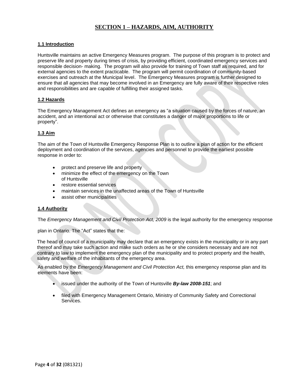# **SECTION 1 – HAZARDS, AIM, AUTHORITY**

# <span id="page-3-0"></span>**1.1 Introduction**

Huntsville maintains an active Emergency Measures program. The purpose of this program is to protect and preserve life and property during times of crisis, by providing efficient, coordinated emergency services and responsible decision- making. The program will also provide for training of Town staff as required, and for external agencies to the extent practicable. The program will permit coordination of community-based exercises and outreach at the Municipal level. The Emergency Measures program is further designed to ensure that all agencies that may become involved in an Emergency are fully aware of their respective roles and responsibilities and are capable of fulfilling their assigned tasks.

# **1.2 Hazards**

The Emergency Management Act defines an emergency as "a situation caused by the forces of nature, an accident, and an intentional act or otherwise that constitutes a danger of major proportions to life or property".

# **1.3 Aim**

The aim of the Town of Huntsville Emergency Response Plan is to outline a plan of action for the efficient deployment and coordination of the services, agencies and personnel to provide the earliest possible response in order to:

- protect and preserve life and property
- minimize the effect of the emergency on the Town of Huntsville
- restore essential services
- maintain services in the unaffected areas of the Town of Huntsville
- assist other municipalities

# **1.4 Authority**

The *Emergency Management and Civil Protection Act, 2009* is the legal authority for the emergency response

plan in Ontario. The "Act" states that the:

The head of council of a municipality may declare that an emergency exists in the municipality or in any part thereof and may take such action and make such orders as he or she considers necessary and are not contrary to law to implement the emergency plan of the municipality and to protect property and the health, safety and welfare of the inhabitants of the emergency area.

As enabled by the *Emergency Management and Civil Protection Act,* this emergency response plan and its elements have been:

- issued under the authority of the Town of Huntsville *By-law 2008-151*; and
- filed with Emergency Management Ontario, Ministry of Community Safety and Correctional Services.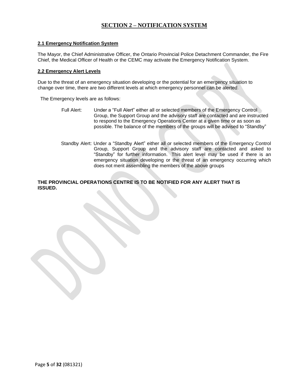# **SECTION 2 – NOTIFICATION SYSTEM**

# <span id="page-4-0"></span>**2.1 Emergency Notification System**

The Mayor, the Chief Administrative Officer, the Ontario Provincial Police Detachment Commander, the Fire Chief, the Medical Officer of Health or the CEMC may activate the Emergency Notification System.

#### **2.2 Emergency Alert Levels**

Due to the threat of an emergency situation developing or the potential for an emergency situation to change over time, there are two different levels at which emergency personnel can be alerted.

The Emergency levels are as follows:

- Full Alert: Under a "Full Alert" either all or selected members of the Emergency Control Group, the Support Group and the advisory staff are contacted and are instructed to respond to the Emergency Operations Center at a given time or as soon as possible. The balance of the members of the groups will be advised to "Standby"
- Standby Alert: Under a "Standby Alert" either all or selected members of the Emergency Control Group, Support Group and the advisory staff are contacted and asked to "Standby" for further information. This alert level may be used if there is an emergency situation developing or the threat of an emergency occurring which does not merit assembling the members of the above groups

**THE PROVINCIAL OPERATIONS CENTRE IS TO BE NOTIFIED FOR ANY ALERT THAT IS ISSUED.**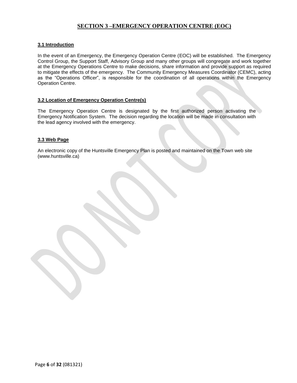# **SECTION 3 –EMERGENCY OPERATION CENTRE (EOC)**

# <span id="page-5-0"></span>**3.1 Introduction**

In the event of an Emergency, the Emergency Operation Centre (EOC) will be established. The Emergency Control Group, the Support Staff, Advisory Group and many other groups will congregate and work together at the Emergency Operations Centre to make decisions, share information and provide support as required to mitigate the effects of the emergency. The Community Emergency Measures Coordinator (CEMC), acting as the "Operations Officer", is responsible for the coordination of all operations within the Emergency Operation Centre.

# **3.2 Location of Emergency Operation Centre(s)**

The Emergency Operation Centre is designated by the first authorized person activating the Emergency Notification System. The decision regarding the location will be made in consultation with the lead agency involved with the emergency.

# **3.3 Web Page**

An electronic copy of the Huntsville Emergency Plan is posted and maintained on the Town [web site](http://www.huntsville.ca/)  [\(www.huntsville.ca\)](http://www.huntsville.ca/)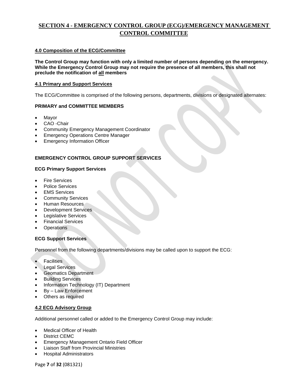# **SECTION 4 - EMERGENCY CONTROL GROUP (ECG)/EMERGENCY MANAGEMENT CONTROL COMMITTEE**

# **4.0 Composition of the ECG/Committee**

**The Control Group may function with only a limited number of persons depending on the emergency. While the Emergency Control Group may not require the presence of all members, this shall not preclude the notification of all members**

# **4.1 Primary and Support Services**

The ECG/Committee is comprised of the following persons, departments, divisions or designated alternates:

# **PRIMARY and COMMITTEE MEMBERS**

- **Mayor**
- CAO -Chair
- Community Emergency Management Coordinator
- Emergency Operations Centre Manager
- **Emergency Information Officer**

# **EMERGENCY CONTROL GROUP SUPPORT SERVICES**

# **ECG Primary Support Services**

- **Fire Services**
- Police Services
- **EMS** Services
- Community Services
- Human Resources
- Development Services
- Legislative Services
- Financial Services
- **Operations**

# **ECG Support Services**

Personnel from the following departments/divisions may be called upon to support the ECG:

- **Facilities**
- **Legal Services**
- Geomatics Department
- Building Services
- Information Technology (IT) Department
- By Law Enforcement
- Others as required

# **4.2 ECG Advisory Group**

Additional personnel called or added to the Emergency Control Group may include:

- Medical Officer of Health
- District CEMC
- Emergency Management Ontario Field Officer
- Liaison Staff from Provincial Ministries
- Hospital Administrators

Page **7** of **32** (081321)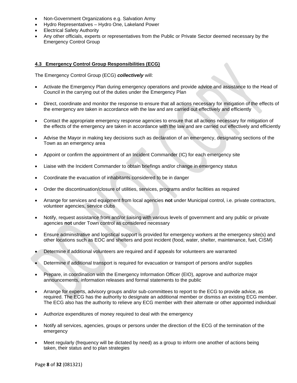- Non-Government Organizations e.g. Salvation Army
- Hydro Representatives Hydro One, Lakeland Power
- **Electrical Safety Authority**
- Any other officials, experts or representatives from the Public or Private Sector deemed necessary by the Emergency Control Group

# **4.3 Emergency Control Group Responsibilities (ECG)**

The Emergency Control Group (ECG) *collectively* will:

- Activate the Emergency Plan during emergency operations and provide advice and assistance to the Head of Council in the carrying out of the duties under the Emergency Plan
- Direct, coordinate and monitor the response to ensure that all actions necessary for mitigation of the effects of the emergency are taken in accordance with the law and are carried out effectively and efficiently
- Contact the appropriate emergency response agencies to ensure that all actions necessary for mitigation of the effects of the emergency are taken in accordance with the law and are carried out effectively and efficiently
- Advise the Mayor in making key decisions such as declaration of an emergency, designating sections of the Town as an emergency area
- Appoint or confirm the appointment of an Incident Commander (IC) for each emergency site
- Liaise with the Incident Commander to obtain briefings and/or change in emergency status
- Coordinate the evacuation of inhabitants considered to be in danger
- Order the discontinuation/closure of utilities, services, programs and/or facilities as required
- Arrange for services and equipment from local agencies **not** under Municipal control, i.e. private contractors, volunteer agencies, service clubs
- Notify, request assistance from and/or liaising with various levels of government and any public or private agencies **not** under Town control as considered necessary
- Ensure administrative and logistical support is provided for emergency workers at the emergency site(s) and other locations such as EOC and shelters and post incident (food, water, shelter, maintenance, fuel, CISM)
- Determine if additional volunteers are required and if appeals for volunteers are warranted
- Determine if additional transport is required for evacuation or transport of persons and/or supplies
- Prepare, in coordination with the Emergency Information Officer (EIO), approve and authorize major announcements, information releases and formal statements to the public
- Arrange for experts, advisory groups and/or sub-committees to report to the ECG to provide advice, as required. The ECG has the authority to designate an additional member or dismiss an existing ECG member. The ECG also has the authority to relieve any ECG member with their alternate or other appointed individual
- Authorize expenditures of money required to deal with the emergency
- Notify all services, agencies, groups or persons under the direction of the ECG of the termination of the emergency
- Meet regularly (frequency will be dictated by need) as a group to inform one another of actions being taken, their status and to plan strategies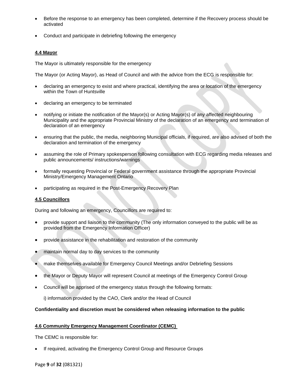- Before the response to an emergency has been completed, determine if the Recovery process should be activated
- Conduct and participate in debriefing following the emergency

# **4.4 Mayor**

The Mayor is ultimately responsible for the emergency

The Mayor (or Acting Mayor), as Head of Council and with the advice from the ECG is responsible for:

- declaring an emergency to exist and where practical, identifying the area or location of the emergency within the Town of Huntsville
- declaring an emergency to be terminated
- notifying or initiate the notification of the Mayor(s) or Acting Mayor(s) of any affected neighbouring Municipality and the appropriate Provincial Ministry of the declaration of an emergency and termination of declaration of an emergency
- ensuring that the public, the media, neighboring Municipal officials, if required, are also advised of both the declaration and termination of the emergency
- assuming the role of Primary spokesperson following consultation with ECG regarding media releases and public announcements/ instructions/warnings
- formally requesting Provincial or Federal government assistance through the appropriate Provincial Ministry/Emergency Management Ontario
- participating as required in the Post-Emergency Recovery Plan

# **4.5 Councillors**

During and following an emergency, Councillors are required to:

- provide support and liaison to the community (The only information conveyed to the public will be as provided from the Emergency Information Officer)
- provide assistance in the rehabilitation and restoration of the community
- maintain normal day to day services to the community
- make themselves available for Emergency Council Meetings and/or Debriefing Sessions
- the Mayor or Deputy Mayor will represent Council at meetings of the Emergency Control Group
- Council will be apprised of the emergency status through the following formats:

i) information provided by the CAO, Clerk and/or the Head of Council

# **Confidentiality and discretion must be considered when releasing information to the public**

# **4.6 Community Emergency Management Coordinator (CEMC)**

The CEMC is responsible for:

If required, activating the Emergency Control Group and Resource Groups

Page **9** of **32** (081321)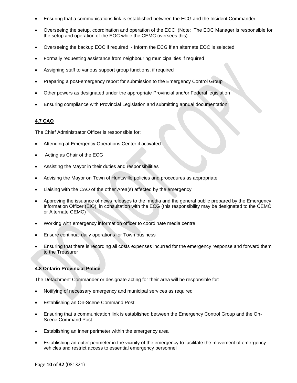- Ensuring that a communications link is established between the ECG and the Incident Commander
- Overseeing the setup, coordination and operation of the EOC (Note: The EOC Manager is responsible for the setup and operation of the EOC while the CEMC oversees this)
- Overseeing the backup EOC if required Inform the ECG if an alternate EOC is selected
- Formally requesting assistance from neighbouring municipalities if required
- Assigning staff to various support group functions, if required
- Preparing a post-emergency report for submission to the Emergency Control Group
- Other powers as designated under the appropriate Provincial and/or Federal legislation
- Ensuring compliance with Provincial Legislation and submitting annual documentation

# **4.7 CAO**

The Chief Administrator Officer is responsible for:

- Attending at Emergency Operations Center if activated
- Acting as Chair of the ECG
- Assisting the Mayor in their duties and responsibilities
- Advising the Mayor on Town of Huntsville policies and procedures as appropriate
- Liaising with the CAO of the other Area(s) affected by the emergency
- Approving the issuance of news releases to the media and the general public prepared by the Emergency Information Officer (EIO), in consultation with the ECG (this responsibility may be designated to the CEMC or Alternate CEMC)
- Working with emergency information officer to coordinate media centre
- Ensure continual daily operations for Town business
- Ensuring that there is recording all costs expenses incurred for the emergency response and forward them to the Treasurer

# **4.8 Ontario Provincial Police**

The Detachment Commander or designate acting for their area will be responsible for:

- Notifying of necessary emergency and municipal services as required
- Establishing an On-Scene Command Post
- Ensuring that a communication link is established between the Emergency Control Group and the On-Scene Command Post
- Establishing an inner perimeter within the emergency area
- Establishing an outer perimeter in the vicinity of the emergency to facilitate the movement of emergency vehicles and restrict access to essential emergency personnel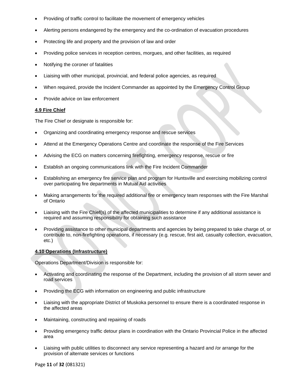- Providing of traffic control to facilitate the movement of emergency vehicles
- Alerting persons endangered by the emergency and the co-ordination of evacuation procedures
- Protecting life and property and the provision of law and order
- Providing police services in reception centres, morgues, and other facilities, as required
- Notifying the coroner of fatalities
- Liaising with other municipal, provincial, and federal police agencies, as required
- When required, provide the Incident Commander as appointed by the Emergency Control Group
- Provide advice on law enforcement

# **4.9 Fire Chief**

The Fire Chief or designate is responsible for:

- Organizing and coordinating emergency response and rescue services
- Attend at the Emergency Operations Centre and coordinate the response of the Fire Services
- Advising the ECG on matters concerning firefighting, emergency response, rescue or fire
- Establish an ongoing communications link with the Fire Incident Commander
- Establishing an emergency fire service plan and program for Huntsville and exercising mobilizing control over participating fire departments in Mutual Aid activities
- Making arrangements for the required additional fire or emergency team responses with the Fire Marshal of Ontario
- Liaising with the Fire Chief(s) of the affected municipalities to determine if any additional assistance is required and assuming responsibility for obtaining such assistance
- Providing assistance to other municipal departments and agencies by being prepared to take charge of, or contribute to, non-firefighting operations, if necessary (e.g. rescue, first aid, casualty collection, evacuation, etc.)

# **4.10 Operations (Infrastructure)**

Operations Department/Division is responsible for:

- Activating and coordinating the response of the Department, including the provision of all storm sewer and road services
- Providing the ECG with information on engineering and public infrastructure
- Liaising with the appropriate District of Muskoka personnel to ensure there is a coordinated response in the affected areas
- Maintaining, constructing and repairing of roads
- Providing emergency traffic detour plans in coordination with the Ontario Provincial Police in the affected area
- Liaising with public utilities to disconnect any service representing a hazard and /or arrange for the provision of alternate services or functions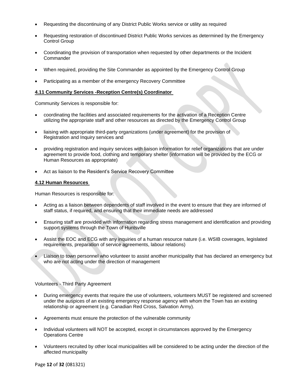- Requesting the discontinuing of any District Public Works service or utility as required
- Requesting restoration of discontinued District Public Works services as determined by the Emergency Control Group
- Coordinating the provision of transportation when requested by other departments or the Incident **Commander**
- When required, providing the Site Commander as appointed by the Emergency Control Group
- Participating as a member of the emergency Recovery Committee

#### **4.11 Community Services -Reception Centre(s) Coordinator**

Community Services is responsible for:

- coordinating the facilities and associated requirements for the activation of a Reception Centre utilizing the appropriate staff and other resources as directed by the Emergency Control Group
- liaising with appropriate third-party organizations (under agreement) for the provision of Registration and Inquiry services and
- providing registration and inquiry services with liaison information for relief organizations that are under agreement to provide food, clothing and temporary shelter (information will be provided by the ECG or Human Resources as appropriate)
- Act as liaison to the Resident's Service Recovery Committee

#### **4.12 Human Resources**

Human Resources is responsible for:

- Acting as a liaison between dependents of staff involved in the event to ensure that they are informed of staff status, if required, and ensuring that their immediate needs are addressed
- Ensuring staff are provided with information regarding stress management and identification and providing support systems through the Town of Huntsville
- Assist the EOC and ECG with any inquiries of a human resource nature (i.e. WSIB coverages, legislated requirements, preparation of service agreements, labour relations)
- Liaison to town personnel who volunteer to assist another municipality that has declared an emergency but who are not acting under the direction of management

# Volunteers - Third Party Agreement

- During emergency events that require the use of volunteers, volunteers MUST be registered and screened under the auspices of an existing emergency response agency with whom the Town has an existing relationship or agreement (e.g. Canadian Red Cross, Salvation Army).
- Agreements must ensure the protection of the vulnerable community
- Individual volunteers will NOT be accepted, except in circumstances approved by the Emergency Operations Centre
- Volunteers recruited by other local municipalities will be considered to be acting under the direction of the affected municipality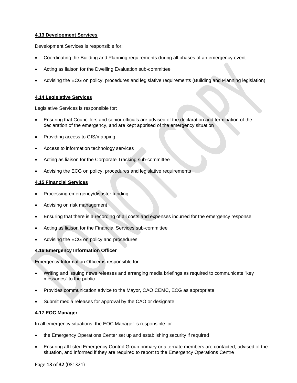# **4.13 Development Services**

Development Services is responsible for:

- Coordinating the Building and Planning requirements during all phases of an emergency event
- Acting as liaison for the Dwelling Evaluation sub-committee
- Advising the ECG on policy, procedures and legislative requirements (Building and Planning legislation)

# **4.14 Legislative Services**

Legislative Services is responsible for:

- Ensuring that Councillors and senior officials are advised of the declaration and termination of the declaration of the emergency, and are kept apprised of the emergency situation
- Providing access to GIS/mapping
- Access to information technology services
- Acting as liaison for the Corporate Tracking sub-committee
- Advising the ECG on policy, procedures and legislative requirements

# **4.15 Financial Services**

- Processing emergency/disaster funding
- Advising on risk management
- Ensuring that there is a recording of all costs and expenses incurred for the emergency response
- Acting as liaison for the Financial Services sub-committee
- Advising the ECG on policy and procedures

# **4.16 Emergency Information Officer**

Emergency Information Officer is responsible for:

- Writing and issuing news releases and arranging media briefings as required to communicate "key messages" to the public
- Provides communication advice to the Mayor, CAO CEMC, ECG as appropriate
- Submit media releases for approval by the CAO or designate

# **4.17 EOC Manager**

In all emergency situations, the EOC Manager is responsible for:

- the Emergency Operations Center set up and establishing security if required
- Ensuring all listed Emergency Control Group primary or alternate members are contacted, advised of the situation, and informed if they are required to report to the Emergency Operations Centre

Page **13** of **32** (081321)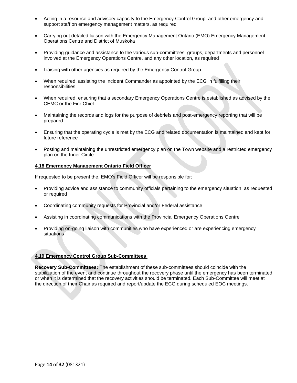- Acting in a resource and advisory capacity to the Emergency Control Group, and other emergency and support staff on emergency management matters, as required
- Carrying out detailed liaison with the Emergency Management Ontario (EMO) Emergency Management Operations Centre and District of Muskoka
- Providing guidance and assistance to the various sub-committees, groups, departments and personnel involved at the Emergency Operations Centre, and any other location, as required
- Liaising with other agencies as required by the Emergency Control Group
- When required, assisting the Incident Commander as appointed by the ECG in fulfilling their responsibilities
- When required, ensuring that a secondary Emergency Operations Centre is established as advised by the CEMC or the Fire Chief
- Maintaining the records and logs for the purpose of debriefs and post-emergency reporting that will be prepared
- Ensuring that the operating cycle is met by the ECG and related documentation is maintained and kept for future reference
- Posting and maintaining the unrestricted emergency plan on the Town website and a restricted emergency plan on the Inner Circle

# **4.18 Emergency Management Ontario Field Officer**

If requested to be present the, EMO's Field Officer will be responsible for:

- Providing advice and assistance to community officials pertaining to the emergency situation, as requested or required
- Coordinating community requests for Provincial and/or Federal assistance
- Assisting in coordinating communications with the Provincial Emergency Operations Centre
- Providing on-going liaison with communities who have experienced or are experiencing emergency situations

# **4.19 Emergency Control Group Sub-Committees**

**Recovery Sub-Committees:** The establishment of these sub-committees should coincide with the stabilization of the event and continue throughout the recovery phase until the emergency has been terminated or when it is determined that the recovery activities should be terminated. Each Sub-Committee will meet at the direction of their Chair as required and report/update the ECG during scheduled EOC meetings.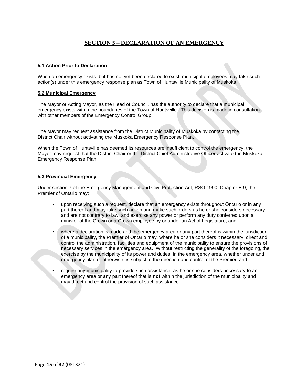# **SECTION 5 – DECLARATION OF AN EMERGENCY**

# <span id="page-14-0"></span>**5.1 Action Prior to Declaration**

When an emergency exists, but has not yet been declared to exist, municipal employees may take such action(s) under this emergency response plan as Town of Huntsville Municipality of Muskoka.

# **5.2 Municipal Emergency**

The Mayor or Acting Mayor, as the Head of Council, has the authority to declare that a municipal emergency exists within the boundaries of the Town of Huntsville. This decision is made in consultation with other members of the Emergency Control Group.

The Mayor may request assistance from the District Municipality of Muskoka by contacting the District Chair without activating the Muskoka Emergency Response Plan.

When the Town of Huntsville has deemed its resources are insufficient to control the emergency, the Mayor may request that the District Chair or the District Chief Administrative Officer activate the Muskoka Emergency Response Plan.

# **5.3 Provincial Emergency**

Under section 7 of the Emergency Management and Civil Protection Act, RSO 1990, Chapter E.9, the Premier of Ontario may:

- upon receiving such a request, declare that an emergency exists throughout Ontario or in any part thereof and may take such action and make such orders as he or she considers necessary and are not contrary to law, and exercise any power or perform any duty conferred upon a minister of the Crown or a Crown employee by or under an Act of Legislature, and
- where a declaration is made and the emergency area or any part thereof is within the jurisdiction of a municipality, the Premier of Ontario may, where he or she considers it necessary, direct and control the administration, facilities and equipment of the municipality to ensure the provisions of necessary services in the emergency area. Without restricting the generality of the foregoing, the exercise by the municipality of its power and duties, in the emergency area, whether under and emergency plan or otherwise, is subject to the direction and control of the Premier, and
- require any municipality to provide such assistance, as he or she considers necessary to an emergency area or any part thereof that is **not** within the jurisdiction of the municipality and may direct and control the provision of such assistance.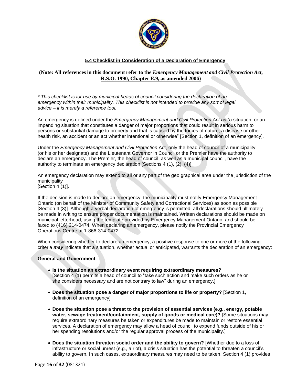

# **5.4 Checklist in Consideration of a Declaration of Emergency**

# **(Note: All references in this document refer to the** *Emergency Management and Civil Protection Act***, R.S.O. 1990, Chapter E.9, as amended 2006)**

*\* This checklist is for use by municipal heads of council considering the declaration of an emergency within their municipality. This checklist is not intended to provide any sort of legal advice – it is merely a reference tool.*

An emergency is defined under the *Emergency Management and Civil Protection Act* as "a situation, or an impending situation that constitutes a danger of major proportions that could result in serious harm to persons or substantial damage to property and that is caused by the forces of nature, a disease or other health risk, an accident or an act whether intentional or otherwise" [Section 1, definition of an emergency].

Under the *Emergency Management and Civil Protection* Act, only the head of council of a municipality (or his or her designate) and the Lieutenant Governor in Council or the Premier have the authority to declare an emergency. The Premier, the head of council, as well as a municipal council, have the authority to terminate an emergency declaration [Sections 4 (1), (2), (4)].

An emergency declaration may extend to all or any part of the geo graphical area under the jurisdiction of the municipality

[Section 4 (1)].

If the decision is made to declare an emergency, the municipality must notify Emergency Management Ontario (on behalf of the Minister of Community Safety and Correctional Services) as soon as possible [Section 4 (3)]. Although a verbal declaration of emergency is permitted, all declarations should ultimately be made in writing to ensure proper documentation is maintained. Written declarations should be made on municipal letterhead, using the template provided by Emergency Management Ontario, and should be faxed to (416) 314-0474. When declaring an emergency, please notify the Provincial Emergency Operations Centre at 1-866-314-0472.

When considering whether to declare an emergency, a positive response to one or more of the following criteria *may* indicate that a situation, whether actual or anticipated, warrants the declaration of an emergency:

# **General and Government**:

- **Is the situation an extraordinary event requiring extraordinary measures?** [Section 4 (1) permits a head of council to "take such action and make such orders as he or she considers necessary and are not contrary to law" during an emergency.]
- **Does the situation pose a danger of major proportions to life or property?** [Section 1, definition of an emergency]
- **Does the situation pose a threat to the provision of essential services (e.g., energy, potable water, sewage treatment/containment, supply of goods or medical care)?** [Some situations may require extraordinary measures be taken or expenditures be made to maintain or restore essential services. A declaration of emergency may allow a head of council to expend funds outside of his or her spending resolutions and/or the regular approval process of the municipality.]
- **Does the situation threaten social order and the ability to govern?** [Whether due to a loss of infrastructure or social unrest (e.g., a riot), a crisis situation has the potential to threaten a council's ability to govern. In such cases, extraordinary measures may need to be taken. Section 4 (1) provides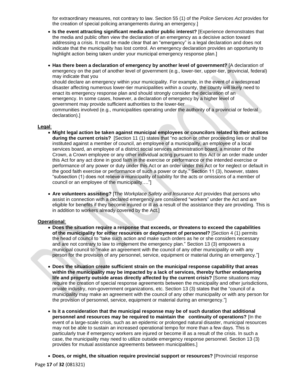for extraordinary measures, not contrary to law. Section 55 (1) of the *Police Services Act* provides for the creation of special policing arrangements during an emergency.]

- **Is the event attracting significant media and/or public interest?** [Experience demonstrates that the media and public often view the declaration of an emergency as a decisive action toward addressing a crisis. It must be made clear that an "emergency" is a legal declaration and does not indicate that the municipality has lost control. An emergency declaration provides an opportunity to highlight action being taken under your municipal emergency response plan.]
- **Has there been a declaration of emergency by another level of government?** [A declaration of emergency on the part of another level of government (e.g., lower-tier, upper-tier, provincial, federal) may indicate that you should declare an emergency within your municipality. For example, in the event of a widespread disaster affecting numerous lower-tier municipalities within a county, the county will likely need to enact its emergency response plan and should strongly consider the declaration of an emergency. In some cases, however, a declaration of emergency by a higher level of government may provide sufficient authorities to the lower-tier communities involved (e.g., municipalities operating under the authority of a provincial or federal declaration).]

#### **Legal**:

- **Might legal action be taken against municipal employees or councilors related to their actions during the current crisis?** [Section 11 (1) states that "no action or other proceeding lies or shall be instituted against a member of council, an employee of a municipality, an employee of a local services board, an employee of a district social services administration board, a minister of the Crown, a Crown employee or any other individual acting pursuant to this Act or an order made under this Act for any act done in good faith in the exercise or performance or the intended exercise or performance of any power or duty under this Act or an order under this Act or for neglect or default in the good faith exercise or performance of such a power or duty." Section 11 (3), however, states "subsection (1) does not relieve a municipality of liability for the acts or omissions of a member of council or an employee of the municipality…."]
- **Are volunteers assisting?** [The *Workplace Safety and Insurance Act* provides that persons who assist in connection with a declared emergency are considered "workers" under the Act and are eligible for benefits if they become injured or ill as a result of the assistance they are providing. This is in addition to workers already covered by the Act.]

#### **Operational**:

- **Does the situation require a response that exceeds, or threatens to exceed the capabilities of the municipality for either resources or deployment of personnel?** [Section 4 (1) permits the head of council to "take such action and make such orders as he or she considers necessary and are not contrary to law to implement the emergency plan." Section 13 (3) empowers a municipal council to "make an agreement with the council of any other municipality or with any person for the provision of any personnel, service, equipment or material during an emergency."]
- **Does the situation create sufficient strain on the municipal response capability that areas within the municipality may be impacted by a lack of services, thereby further endangering life and property outside areas directly affected by the current crisis?** [Some situations may require the creation of special response agreements between the municipality and other jurisdictions, private industry, non-government organizations, etc. Section 13 (3) states that the "council of a municipality may make an agreement with the council of any other municipality or with any person for the provision of personnel, service, equipment or material during an emergency."]
- **Is it a consideration that the municipal response may be of such duration that additional personnel and resources may be required to maintain the continuity of operations?** [In the event of a large-scale crisis, such as an epidemic or prolonged natural disaster, municipal resources may not be able to sustain an increased operational tempo for more than a few days. This is particularly true if emergency workers are injured or become ill as a result of the crisis. In such a case, the municipality may need to utilize outside emergency response personnel. Section 13 (3) provides for mutual assistance agreements between municipalities.]
- **Does, or might, the situation require provincial support or resources?** [Provincial response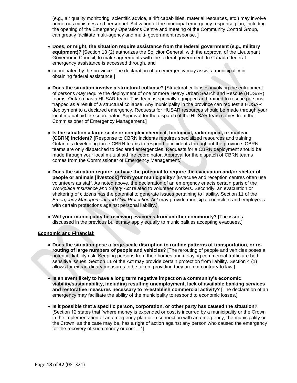(e.g., air quality monitoring, scientific advice, airlift capabilities, material resources, etc.) may involve numerous ministries and personnel. Activation of the municipal emergency response plan, including the opening of the Emergency Operations Centre and meeting of the Community Control Group, can greatly facilitate multi-agency and multi- government response. ]

- **Does, or might, the situation require assistance from the federal government (e.g., military equipment)?** [Section 13 (2) authorizes the Solicitor General, with the approval of the Lieutenant Governor in Council, to make agreements with the federal government. In Canada, federal emergency assistance is accessed through, and
- coordinated by the province. The declaration of an emergency may assist a municipality in obtaining federal assistance.]
- **Does the situation involve a structural collapse?** [Structural collapses involving the entrapment of persons *may* require the deployment of one or more Heavy Urban Search and Rescue (HUSAR) teams. Ontario has a HUSAR team. This team is specially equipped and trained to rescue persons trapped as a result of a structural collapse. Any municipality in the province can request a HUSAR deployment to a declared emergency. Requests for HUSAR resources should be made through your local mutual aid fire coordinator. Approval for the dispatch of the HUSAR team comes from the Commissioner of Emergency Management.]
- **Is the situation a large-scale or complex chemical, biological, radiological, or nuclear (CBRN) incident?** [Response to CBRN incidents requires specialized resources and training. Ontario is developing three CBRN teams to respond to incidents throughout the province. CBRN teams are only dispatched to declared emergencies. Requests for a CBRN deployment should be made through your local mutual aid fire coordinator. Approval for the dispatch of CBRN teams comes from the Commissioner of Emergency Management.]
- **Does the situation require, or have the potential to require the evacuation and/or shelter of people or animals [livestock] from your municipality?** [Evacuee and reception centres often use volunteers as staff. As noted above, the declaration of an emergency enacts certain parts of the *Workplace Insurance and Safety Act* related to volunteer workers. Secondly, an evacuation or sheltering of citizens has the potential to generate issues pertaining to liability. Section 11 of the *Emergency Management and Civil Protection Act* may provide municipal councilors and employees with certain protections against personal liability.]
- **Will your municipality be receiving evacuees from another community?** [The issues discussed in the previous bullet may apply equally to municipalities accepting evacuees.]

# **Economic and Financial**:

- **Does the situation pose a large-scale disruption to routine patterns of transportation, or rerouting of large numbers of people and vehicles?** [The rerouting of people and vehicles poses a potential liability risk. Keeping persons from their homes and delaying commercial traffic are both sensitive issues. Section 11 of the Act may provide certain protection from liability. Section 4 (1) allows for extraordinary measures to be taken, providing they are not contrary to law.]
- **Is an event likely to have a long term negative impact on a community's economic viability/sustainability, including resulting unemployment, lack of available banking services and restorative measures necessary to re-establish commercial activity?** [The declaration of an emergency may facilitate the ability of the municipality to respond to economic losses.]
- **Is it possible that a specific person, corporation, or other party has caused the situation?**  [Section 12 states that "where money is expended or cost is incurred by a municipality or the Crown in the implementation of an emergency plan or in connection with an emergency, the municipality or the Crown, as the case may be, has a right of action against any person who caused the emergency for the recovery of such money or cost…."]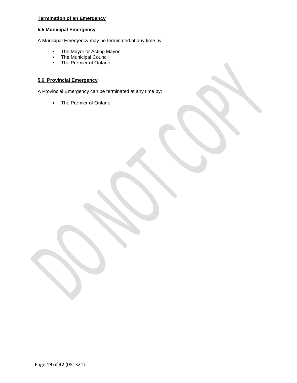# **Termination of an Emergency**

# **5.5 Municipal Emergency**

A Municipal Emergency may be terminated at any time by:

- The Mayor or Acting Mayor
- The Municipal Council
- The Premier of Ontario

# **5.6 Provincial Emergency**

A Provincial Emergency can be terminated at any time by:

• The Premier of Ontario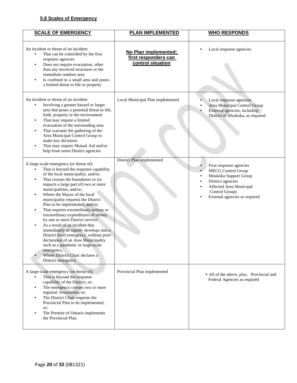# **5.8 Scales of Emergency**

| <b>SCALE OF EMERGENCY</b>                                                                                                                                                                                                                                                                                                                                                                                                                                                                                                                                                                                                                                                                                                                                                       | <b>PLAN IMPLEMENTED</b>                                           | <b>WHO RESPONDS</b>                                                                                                                                                                     |
|---------------------------------------------------------------------------------------------------------------------------------------------------------------------------------------------------------------------------------------------------------------------------------------------------------------------------------------------------------------------------------------------------------------------------------------------------------------------------------------------------------------------------------------------------------------------------------------------------------------------------------------------------------------------------------------------------------------------------------------------------------------------------------|-------------------------------------------------------------------|-----------------------------------------------------------------------------------------------------------------------------------------------------------------------------------------|
| An incident or threat of an incident:<br>That can be controlled by the first<br>response agencies<br>Does not require evacuation, other<br>$\bullet$<br>than any involved structures or the<br>immediate outdoor area<br>Is confined to a small area and poses<br>$\bullet$<br>a limited threat to life or property                                                                                                                                                                                                                                                                                                                                                                                                                                                             | No Plan implemented;<br>first responders can<br>control situation | Local response agencies                                                                                                                                                                 |
| An incident or threat of an incident:<br>Involving a greater hazard or larger<br>٠<br>area that poses a potential threat to life,<br>limb, property or the environment<br>That may require a limited<br>$\bullet$<br>evacuation of the surrounding area<br>That warrants the gathering of the<br>$\bullet$<br>Area Municipal Control Group to<br>make key decisions<br>That may require Mutual Aid and/or<br>$\bullet$<br>help from some District agencies                                                                                                                                                                                                                                                                                                                      | Local Municipal Plan implemented                                  | Local response agencies<br>Area Municipal Control Group<br>External agencies, including<br>District of Muskoka, as required                                                             |
| A large-scale emergency (or threat of):<br>That is beyond the response capability<br>of the local municipality, and/or;<br>That crosses the boundaries or (or<br>$\bullet$<br>impacts a large part of) two or more<br>municipalities, and/or;<br>Where the Mayor of the local<br>$\bullet$<br>municipality requests the District<br>Plan to be implemented, and/or;<br>That requires extraordinary actions or<br>$\bullet$<br>extraordinary expenditures of money<br>by one or more District service<br>As a result of an incident that<br>immediately or rapidly develops into a<br>District level emergency, without prior<br>declaration of an Area Municipality<br>such as a pandemic or large-scale<br>emergency.<br>Where District Chair declares a<br>District emergency | District Plan implemented                                         | First response agencies<br><b>MECG Control Group</b><br>Muskoka Support Group<br>District agencies<br>Affected Area Municipal<br><b>Control Groups</b><br>External agencies as required |
| A large-scale emergency (or threat of):<br>That is beyond the response<br>capability of the District, or;<br>The emergency crosses two or more<br>$\bullet$<br>regional boundaries, or;<br>The District Chair requests the<br>$\bullet$<br>Provincial Plan to be implemented,<br>or;<br>The Premier of Ontario implements<br>$\bullet$<br>the Provincial Plan.                                                                                                                                                                                                                                                                                                                                                                                                                  | Provincial Plan implemented                                       | • All of the above, plus, Provincial and<br>Federal Agencies as required                                                                                                                |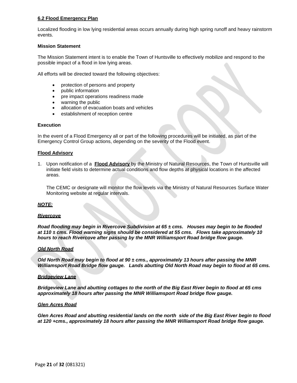# **6.2 Flood Emergency Plan**

Localized flooding in low lying residential areas occurs annually during high spring runoff and heavy rainstorm events.

#### **Mission Statement**

The Mission Statement intent is to enable the Town of Huntsville to effectively mobilize and respond to the possible impact of a flood in low lying areas.

All efforts will be directed toward the following objectives:

- protection of persons and property
- public information
- pre impact operations readiness made
- warning the public
- allocation of evacuation boats and vehicles
- establishment of reception centre

#### **Execution**

In the event of a Flood Emergency all or part of the following procedures will be initiated, as part of the Emergency Control Group actions, depending on the severity of the Flood event.

#### **Flood Advisory**

1. Upon notification of a **Flood Advisory** by the Ministry of Natural Resources, the Town of Huntsville will initiate field visits to determine actual conditions and flow depths at physical locations in the affected areas.

The CEMC or designate will monitor the flow levels via the Ministry of Natural Resources Surface Water Monitoring website at regular intervals.

#### *NOTE:*

#### *Rivercove*

*Road flooding may begin in Rivercove Subdivision at 65 ± cms. Houses may begin to be flooded at 110 ± cms. Flood warning signs should be considered at 55 cms. Flows take approximately 10 hours to reach Rivercove after passing by the MNR Williamsport Road bridge flow gauge.*

# *Old North Road*

*Old North Road may begin to flood at 90 ± cms., approximately 13 hours after passing the MNR Williamsport Road Bridge flow gauge. Lands abutting Old North Road may begin to flood at 65 cms.*

#### *Bridgeview Lane*

*Bridgeview Lane and abutting cottages to the north of the Big East River begin to flood at 65 cms approximately 18 hours after passing the MNR Williamsport Road bridge flow gauge.*

#### *Glen Acres Road*

*Glen Acres Road and abutting residential lands on the north side of the Big East River begin to flood at 120 +cms., approximately 18 hours after passing the MNR Williamsport Road bridge flow gauge.*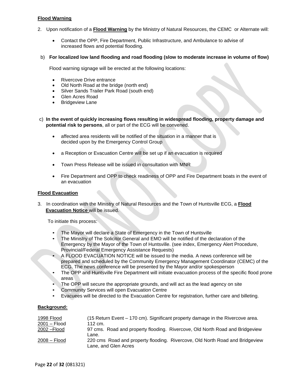# **Flood Warning**

- 2. Upon notification of a **Flood Warning** by the Ministry of Natural Resources, the CEMC or Alternate will:
	- Contact the OPP, Fire Department, Public Infrastructure, and Ambulance to advise of increased flows and potential flooding.
- b) **For localized low land flooding and road flooding (slow to moderate increase in volume of flow)**

Flood warning signage will be erected at the following locations:

- Rivercove Drive entrance
- Old North Road at the bridge (north end)
- Silver Sands Trailer Park Road (south end)
- Glen Acres Road
- Bridgeview Lane
- c) **In the event of quickly increasing flows resulting in widespread flooding, property damage and potential risk to persons**, all or part of the ECG will be convened.
	- affected area residents will be notified of the situation in a manner that is decided upon by the Emergency Control Group
	- a Reception or Evacuation Centre will be set up if an evacuation is required
	- Town Press Release will be issued in consultation with MNR
	- Fire Department and OPP to check readiness of OPP and Fire Department boats in the event of an evacuation

# **Flood Evacuation**

3. In coordination with the Ministry of Natural Resources and the Town of Huntsville ECG, a **Flood Evacuation Notice** will be issued.

To initiate this process:

- The Mayor will declare a State of Emergency in the Town of Huntsville
- The Ministry of The Solicitor General and EMO will be notified of the declaration of the Emergency by the Mayor of the Town of Huntsville. (see index, Emergency Alert Procedure, Provincial/Federal Emergency Assistance Requests)
- A FLOOD EVACUATION NOTICE will be issued to the media. A news conference will be prepared and scheduled by the Community Emergency Management Coordinator (CEMC) of the ECG. The news conference will be presented by the Mayor and/or spokesperson
- The OPP and Huntsville Fire Department will initiate evacuation process of the specific flood prone areas
- The OPP will secure the appropriate grounds, and will act as the lead agency on site
- Community Services will open Evacuation Centre
- Evacuees will be directed to the Evacuation Centre for registration, further care and billeting.

# **Background:**

| 1998 Flood<br>2001 – Flood | (15 Return Event – 170 cm). Significant property damage in the Rivercove area.<br>112 cm.            |
|----------------------------|------------------------------------------------------------------------------------------------------|
| 2002 - Flood               | 97 cms. Road and property flooding. Rivercove, Old North Road and Bridgeview                         |
|                            | Lane.                                                                                                |
| 2008 – Flood               | 220 cms Road and property flooding. Rivercove, Old North Road and Bridgeview<br>Lane, and Glen Acres |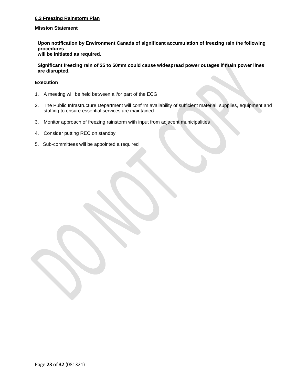# **6.3 Freezing Rainstorm Plan**

# **Mission Statement**

**Upon notification by Environment Canada of significant accumulation of freezing rain the following procedures will be initiated as required.** 

**Significant freezing rain of 25 to 50mm could cause widespread power outages if main power lines are disrupted.**

# **Execution**

- 1. A meeting will be held between all/or part of the ECG
- 2. The Public Infrastructure Department will confirm availability of sufficient material, supplies, equipment and staffing to ensure essential services are maintained
- 3. Monitor approach of freezing rainstorm with input from adjacent municipalities
- 4. Consider putting REC on standby
- 5. Sub-committees will be appointed a required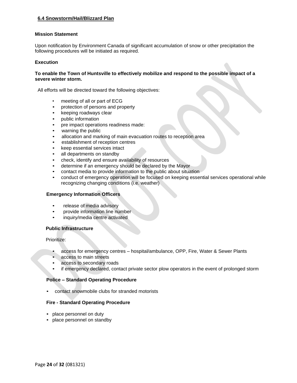# **6.4 Snowstorm/Hail/Blizzard Plan**

#### **Mission Statement**

Upon notification by Environment Canada of significant accumulation of snow or other precipitation the following procedures will be initiated as required.

#### **Execution**

# **To enable the Town of Huntsville to effectively mobilize and respond to the possible impact of a severe winter storm.**

All efforts will be directed toward the following objectives:

- meeting of all or part of ECG
- protection of persons and property
- keeping roadways clear
- public information
- pre impact operations readiness made:
- warning the public
- allocation and marking of main evacuation routes to reception area
- establishment of reception centres
- keep essential services intact
- all departments on standby
- check, identify and ensure availability of resources
- determine if an emergency should be declared by the Mayor
- contact media to provide information to the public about situation
- conduct of emergency operation will be focused on keeping essential services operational while recognizing changing conditions (i.e. weather)

# **Emergency Information Officers**

- release of media advisory
- provide information line number
- inquiry/media centre activated

# **Public Infrastructure**

Prioritize:

- access for emergency centres hospital/ambulance, OPP, Fire, Water & Sewer Plants
- access to main streets
- access to secondary roads
- if emergency declared, contact private sector plow operators in the event of prolonged storm

# **Police – Standard Operating Procedure**

• contact snowmobile clubs for stranded motorists

# **Fire - Standard Operating Procedure**

- place personnel on duty
- place personnel on standby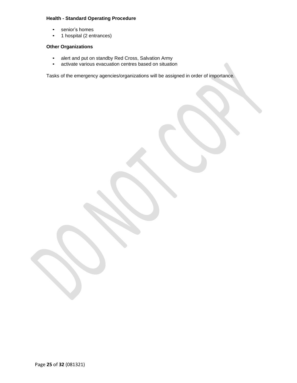# **Health - Standard Operating Procedure**

- senior's homes
- 1 hospital (2 entrances)

# **Other Organizations**

- alert and put on standby Red Cross, Salvation Army
- activate various evacuation centres based on situation

Tasks of the emergency agencies/organizations will be assigned in order of importance.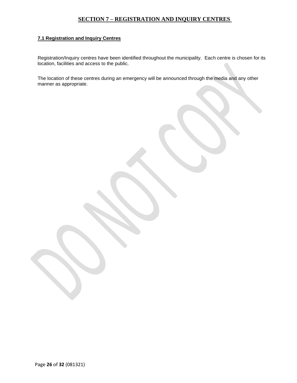# **SECTION 7 – REGISTRATION AND INQUIRY CENTRES**

# <span id="page-25-0"></span>**7.1 Registration and Inquiry Centres**

Registration/Inquiry centres have been identified throughout the municipality. Each centre is chosen for its location, facilities and access to the public.

The location of these centres during an emergency will be announced through the media and any other manner as appropriate.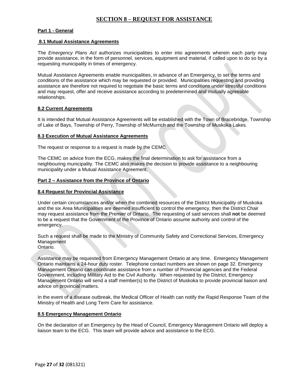# **SECTION 8 – REQUEST FOR ASSISTANCE**

# <span id="page-26-0"></span>**Part 1 - General**

#### **8.1 Mutual Assistance Agreements**

The *Emergency Plans Act* authorizes municipalities to enter into agreements wherein each party may provide assistance, in the form of personnel, services, equipment and material, if called upon to do so by a requesting municipality in times of emergency.

Mutual Assistance Agreements enable municipalities, in advance of an Emergency, to set the terms and conditions of the assistance which may be requested or provided. Municipalities requesting and providing assistance are therefore not required to negotiate the basic terms and conditions under stressful conditions and may request, offer and receive assistance according to predetermined and mutually agreeable relationships.

#### **8.2 Current Agreements**

It is intended that Mutual Assistance Agreements will be established with the Town of Bracebridge, Township of Lake of Bays, Township of Perry, Township of McMurrich and the Township of Muskoka Lakes.

#### **8.3 Execution of Mutual Assistance Agreements**

The request or response to a request is made by the CEMC

The CEMC on advice from the ECG, makes the final determination to ask for assistance from a neighbouring municipality. The CEMC also makes the decision to provide assistance to a neighbouring municipality under a Mutual Assistance Agreement.

#### **Part 2 – Assistance from the Province of Ontario**

#### **8.4 Request for Provincial Assistance**

Under certain circumstances and/or when the combined resources of the District Municipality of Muskoka and the six Area Municipalities are deemed insufficient to control the emergency, then the District Chair may request assistance from the Premier of Ontario. The requesting of said services shall **not** be deemed to be a request that the Government of the Province of Ontario assume authority and control of the emergency.

Such a request shall be made to the Ministry of Community Safety and Correctional Services, Emergency Management Ontario.

Assistance may be requested from Emergency Management Ontario at any time. Emergency Management Ontario maintains a 24-hour duty roster. Telephone contact numbers are shown on page 32. Emergency Management Ontario can coordinate assistance from a number of Provincial agencies and the Federal Government, including Military Aid to the Civil Authority. When requested by the District, Emergency Management Ontario will send a staff member(s) to the District of Muskoka to provide provincial liaison and advice on provincial matters.

In the event of a disease outbreak, the Medical Officer of Health can notify the Rapid Response Team of the Ministry of Health and Long Term Care for assistance.

# **8.5 Emergency Management Ontario**

On the declaration of an Emergency by the Head of Council, Emergency Management Ontario will deploy a liaison team to the ECG. This team will provide advice and assistance to the ECG.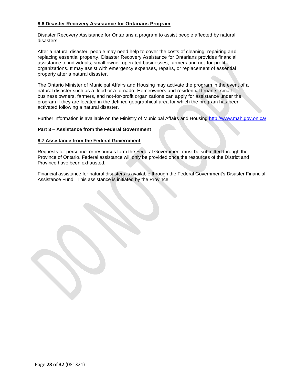# **8.6 Disaster Recovery Assistance for Ontarians Program**

Disaster Recovery Assistance for Ontarians a program to assist people affected by natural disasters.

After a natural disaster, people may need help to cover the costs of cleaning, repairing and replacing essential property. Disaster Recovery Assistance for Ontarians provides financial assistance to individuals, small owner-operated businesses, farmers and not-for-profit organizations. It may assist with emergency expenses, repairs, or replacement of essential property after a natural disaster.

The Ontario Minister of Municipal Affairs and Housing may activate the program in the event of a natural disaster such as a flood or a tornado. Homeowners and residential tenants, small business owners, farmers, and not-for-profit organizations can apply for assistance under the program if they are located in the defined geographical area for which the program has been activated following a natural disaster.

Further information is available on the Ministry of Municipal Affairs and Housing <http://www.mah.gov.on.ca/>

# **Part 3 – Assistance from the Federal Government**

# **8.7 Assistance from the Federal Government**

Requests for personnel or resources form the Federal Government must be submitted through the Province of Ontario. Federal assistance will only be provided once the resources of the District and Province have been exhausted.

Financial assistance for natural disasters is available through the Federal Government's Disaster Financial Assistance Fund. This assistance is initiated by the Province.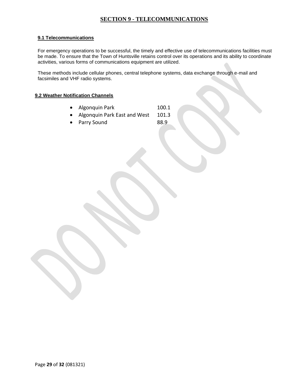# **SECTION 9 - TELECOMMUNICATIONS**

# <span id="page-28-0"></span>**9.1 Telecommunications**

For emergency operations to be successful, the timely and effective use of telecommunications facilities must be made. To ensure that the Town of Huntsville retains control over its operations and its ability to coordinate activities, various forms of communications equipment are utilized.

These methods include cellular phones, central telephone systems, data exchange through e-mail and facsimiles and VHF radio systems.

# **9.2 Weather Notification Channels**

- Algonquin Park 100.1
- Algonquin Park East and West 101.3
- Parry Sound 88.9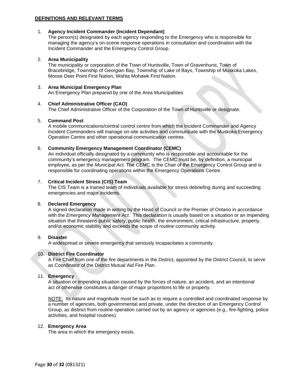# **DEFINITIONS AND RELEVANT TERMS**

# 1. **Agency Incident Commander (Incident Dependant)**

The person(s) designated by each agency responding to the Emergency who is responsible for managing the agency's on-scene response operations in consultation and coordination with the Incident Commander and the Emergency Control Group.

# 2. **Area Municipality**

The municipality or corporation of the Town of Huntsville, Town of Gravenhurst, Town of Bracebridge, Township of Georgian Bay, Township of Lake of Bays, Township of Muskoka Lakes, Moose Deer Point First Nation, Wahta Mohawk First Nation.

#### 3. **Area Municipal Emergency Plan**

An Emergency Plan prepared by one of the Area Municipalities

#### 4. **Chief Administrative Officer (CAO)**

The Chief Administrative Officer of the Corporation of the Town of Huntsville or designate.

# 5. **Command Post**

A mobile communications/central control centre from which the Incident Commander and Agency Incident Commanders will manage on-site activities and communicate with the Muskoka Emergency Operation Centre and other operational communication centres.

# 6. **Community Emergency Management Coordinator (CEMC)**

An individual officially designated by a community who is responsible and accountable for the community's emergency management program. The CEMC must be, by definition, a municipal employee, as per the *Municipal Act.* The CEMC is the Chair of the Emergency Control Group and is responsible for coordinating operations within the Emergency Operations Centre.

# 7. **Critical Incident Stress (CIS) Team**

The CIS Team is a trained team of individuals available for stress debriefing during and succeeding emergencies and major incidents.

# 8. **Declared Emergency**

A signed declaration made in writing by the Head of Council or the Premier of Ontario in accordance with the *Emergency Management Act.* This declaration is usually based on a situation or an impending situation that threatens public safety, public health, the environment, critical infrastructure, property, and/or economic stability and exceeds the scope of routine community activity.

#### 9. **Disaster**

A widespread or severe emergency that seriously incapacitates a community.

# 10. **District Fire Coordinator**

A Fire Chief from one of the fire departments in the District, appointed by the District Council, to serve as Coordinator of the District Mutual Aid Fire Plan.

# 11. **Emergency**

A situation or impending situation caused by the forces of nature, an accident, and an intentional act or otherwise constitutes a danger of major proportions to life or property.

NOTE: Its nature and magnitude must be such as to require a controlled and coordinated response by a number of agencies, both governmental and private, under the direction of an Emergency Control Group, as distinct from routine operation carried out by an agency or agencies (e.g., fire-fighting, police activities, and hospital routines).

#### 12. **Emergency Area**

The area in which the emergency exists.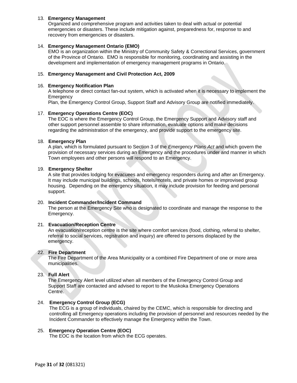# 13. **Emergency Management**

Organized and comprehensive program and activities taken to deal with actual or potential emergencies or disasters. These include mitigation against, preparedness for, response to and recovery from emergencies or disasters.

# 14. **Emergency Management Ontario (EMO)**

EMO is an organization within the Ministry of Community Safety & Correctional Services, government of the Province of Ontario. EMO is responsible for monitoring, coordinating and assisting in the development and implementation of emergency management programs in Ontario.

# 15. **Emergency Management and Civil Protection Act, 2009**

# 16. **Emergency Notification Plan**

A telephone or direct contact fan-out system, which is activated when it is necessary to implement the **Emergency** 

Plan, the Emergency Control Group, Support Staff and Advisory Group are notified immediately.

# 17. **Emergency Operations Centre (EOC)**

The EOC is where the Emergency Control Group, the Emergency Support and Advisory staff and other support personnel assemble to share information, evaluate options and make decisions regarding the administration of the emergency, and provide support to the emergency site.

# 18. **Emergency Plan**

A plan, which is formulated pursuant to Section 3 of the *Emergency Plans Act* and which govern the provision of necessary services during an Emergency and the procedures under and manner in which Town employees and other persons will respond to an Emergency.

# 19. **Emergency Shelter**

A site that provides lodging for evacuees and emergency responders during and after an Emergency. It may include municipal buildings, schools, hotels/motels, and private homes or improvised group housing. Depending on the emergency situation, it may include provision for feeding and personal support.

# 20. **Incident Commander/Incident Command**

The person at the Emergency Site who is designated to coordinate and manage the response to the Emergency.

# 21. **Evacuation/Reception Centre**

An evacuation/reception centre is the site where comfort services (food, clothing, referral to shelter, referral to social services, registration and inquiry) are offered to persons displaced by the emergency.

# 22. **Fire Department**

The Fire Department of the Area Municipality or a combined Fire Department of one or more area municipalities.

# 23. **Full Alert**

The Emergency Alert level utilized when all members of the Emergency Control Group and Support Staff are contacted and advised to report to the Muskoka Emergency Operations Centre.

# 24. **Emergency Control Group (ECG)**

The ECG is a group of individuals, chaired by the CEMC, which is responsible for directing and controlling all Emergency operations including the provision of personnel and resources needed by the Incident Commander to effectively manage the Emergency within the Town.

# 25. **Emergency Operation Centre (EOC)**

The EOC is the location from which the ECG operates.